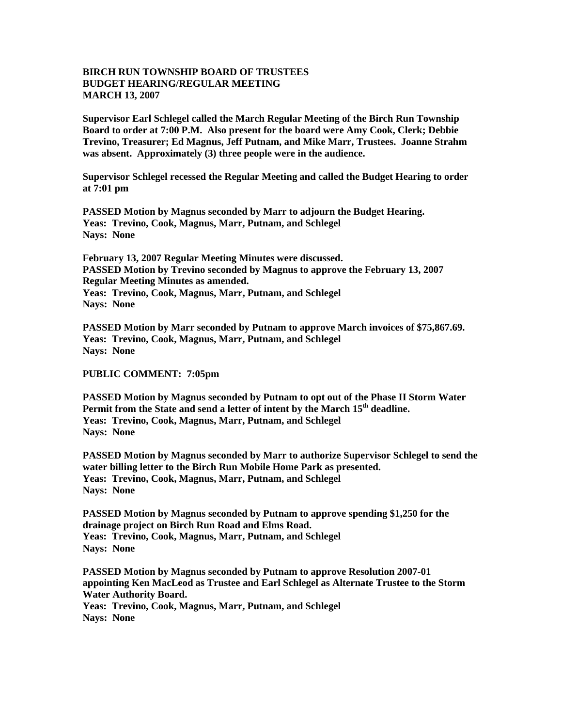## **BIRCH RUN TOWNSHIP BOARD OF TRUSTEES BUDGET HEARING/REGULAR MEETING MARCH 13, 2007**

**Supervisor Earl Schlegel called the March Regular Meeting of the Birch Run Township Board to order at 7:00 P.M. Also present for the board were Amy Cook, Clerk; Debbie Trevino, Treasurer; Ed Magnus, Jeff Putnam, and Mike Marr, Trustees. Joanne Strahm was absent. Approximately (3) three people were in the audience.** 

**Supervisor Schlegel recessed the Regular Meeting and called the Budget Hearing to order at 7:01 pm**

**PASSED Motion by Magnus seconded by Marr to adjourn the Budget Hearing. Yeas: Trevino, Cook, Magnus, Marr, Putnam, and Schlegel Nays: None** 

**February 13, 2007 Regular Meeting Minutes were discussed. PASSED Motion by Trevino seconded by Magnus to approve the February 13, 2007 Regular Meeting Minutes as amended. Yeas: Trevino, Cook, Magnus, Marr, Putnam, and Schlegel Nays: None** 

**PASSED Motion by Marr seconded by Putnam to approve March invoices of \$75,867.69. Yeas: Trevino, Cook, Magnus, Marr, Putnam, and Schlegel Nays: None** 

## **PUBLIC COMMENT: 7:05pm**

**PASSED Motion by Magnus seconded by Putnam to opt out of the Phase II Storm Water Permit from the State and send a letter of intent by the March 15th deadline. Yeas: Trevino, Cook, Magnus, Marr, Putnam, and Schlegel Nays: None** 

**PASSED Motion by Magnus seconded by Marr to authorize Supervisor Schlegel to send the water billing letter to the Birch Run Mobile Home Park as presented. Yeas: Trevino, Cook, Magnus, Marr, Putnam, and Schlegel Nays: None** 

**PASSED Motion by Magnus seconded by Putnam to approve spending \$1,250 for the drainage project on Birch Run Road and Elms Road. Yeas: Trevino, Cook, Magnus, Marr, Putnam, and Schlegel Nays: None** 

**PASSED Motion by Magnus seconded by Putnam to approve Resolution 2007-01 appointing Ken MacLeod as Trustee and Earl Schlegel as Alternate Trustee to the Storm Water Authority Board. Yeas: Trevino, Cook, Magnus, Marr, Putnam, and Schlegel Nays: None**